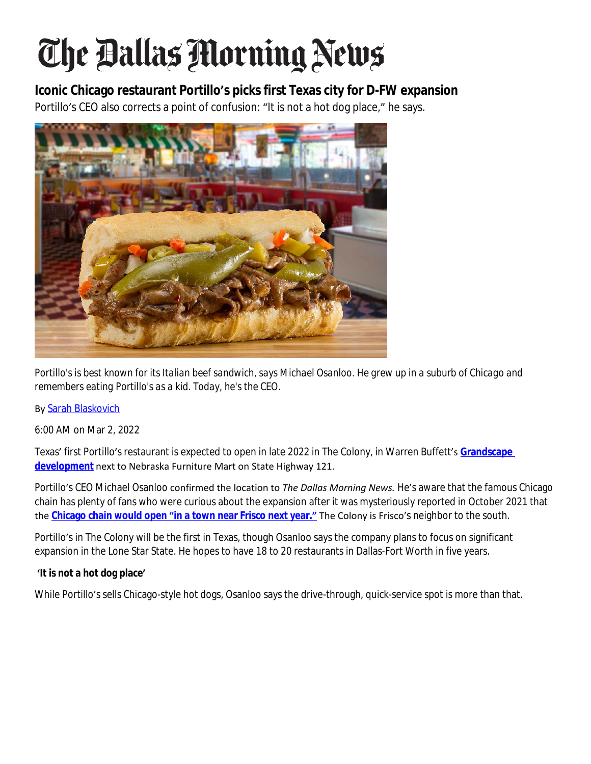# The Ballas Morning News

## **Iconic Chicago restaurant Portillo's picks first Texas city for D-FW expansion**

Portillo's CEO also corrects a point of confusion: "It is not a hot dog place," he says.



*Portillo's is best known for its Italian beef sandwich, says Michael Osanloo. He grew up in a suburb of Chicago and remembers eating Portillo's as a kid. Today, he's the CEO.*

#### By [Sarah Blaskovich](https://www.dallasnews.com/author/sarah-blaskovich/)

[6:00 AM on Mar 2, 2022](https://www.dallasnews.com/author/sarah-blaskovich/)

Texas' [first Portillo](https://www.dallasnews.com/author/sarah-blaskovich/)'[s restaurant is expected to open in late 2022 in The Colony, in Warren Buffett](https://www.dallasnews.com/author/sarah-blaskovich/)'s **[Grandscape](https://www.dallasnews.com/food/restaurant-news/2021/10/12/5-things-to-know-about-grandscape-the-biggest-restaurant-village-in-north-texas/)  development** next to Nebraska Furniture Mart on State Highway 121.

Portillo's CEO Michael Osanloo confirmed the location to *The Dallas Morning News.* He's aware that the famous Chicago chain has plenty of fans who were curious about the expansion after it was mysteriously reported in October 2021 that the **Chicago chain would open "[in a town near Frisco next year.](https://www.dallasnews.com/food/restaurant-news/2021/10/25/portillos-an-iconic-chicago-hot-dog-chain-reportedly-making-texas-debut-in-2022/)"** The Colony is Frisco's neighbor to the south.

Portillo's in The Colony will be the first in Texas, though Osanloo says the company plans to focus on significant expansion in the Lone Star State. He hopes to have 18 to 20 restaurants in Dallas-Fort Worth in five years.

#### **'It is not a hot dog place'**

While Portillo's sells Chicago-style hot dogs, Osanloo says the drive-through, quick-service spot is more than that.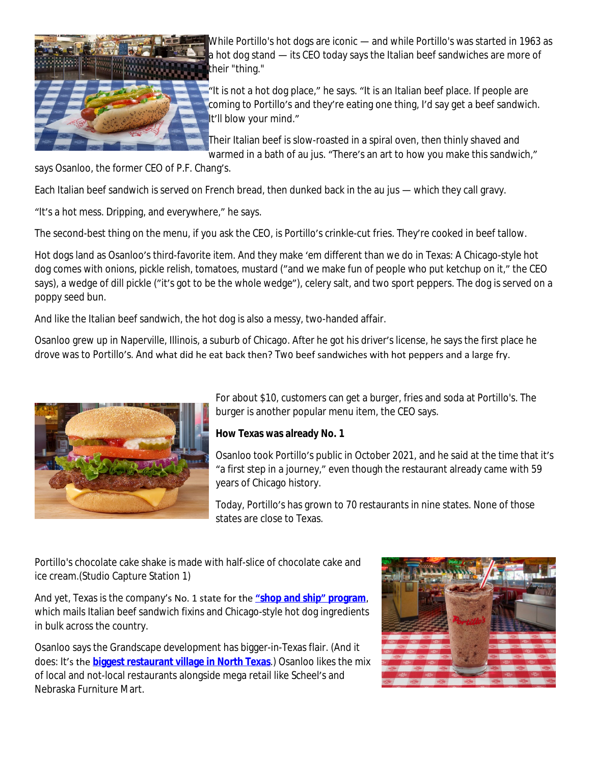

While Portillo's hot dogs are iconic — and while Portillo's was started in 1963 as a hot dog stand — its CEO today says the Italian beef sandwiches are more of their "thing."

"It is not a hot dog place," he says. "It is an Italian beef place. If people are coming to Portillo's and they're eating one thing, I'd say get a beef sandwich. It'll blow your mind."

Their Italian beef is slow-roasted in a spiral oven, then thinly shaved and warmed in a bath of au jus. "There's an art to how you make this sandwich,"

says Osanloo, the former CEO of P.F. Chang's.

Each Italian beef sandwich is served on French bread, then dunked back in the au jus — which they call gravy.

"It's a hot mess. Dripping, and everywhere," he says.

The second-best thing on the menu, if you ask the CEO, is Portillo's crinkle-cut fries. They're cooked in beef tallow.

Hot dogs land as Osanloo's third-favorite item. And they make 'em different than we do in Texas: A Chicago-style hot dog comes with onions, pickle relish, tomatoes, mustard ("and we make fun of people who put ketchup on it," the CEO says), a wedge of dill pickle ("it's got to be the whole wedge"), celery salt, and two sport peppers. The dog is served on a poppy seed bun.

And like the Italian beef sandwich, the hot dog is also a messy, two-handed affair.

Osanloo grew up in Naperville, Illinois, a suburb of Chicago. After he got his driver's license, he says the first place he drove was to Portillo's. And what did he eat back then? *Two* beef sandwiches with hot peppers and a large fry.



For about \$10, customers can get a burger, fries and soda at Portillo's. The burger is another popular menu item, the CEO says.

### **How Texas was already No. 1**

Osanloo took Portillo's public in October 2021, and he said at the time that it's "a first step in a journey," even though the restaurant already came with 59 years of Chicago history.

Today, Portillo's has grown to 70 restaurants in nine states. None of those states are close to Texas.

Portillo's chocolate cake shake is made with half-slice of chocolate cake and ice cream.(Studio Capture Station 1)

And yet, Texas is the company's No. 1 state for the **"[shop and ship](https://www.portillos.com/index-shop-and-ship.html#Food)" program**, which mails Italian beef sandwich fixins and Chicago-style hot dog ingredients in bulk across the country.

Osanloo says the Grandscape development has bigger-in-Texas flair. (And it does: It's the **[biggest restaurant village in North Texas](https://www.dallasnews.com/food/restaurant-news/2021/10/12/5-things-to-know-about-grandscape-the-biggest-restaurant-village-in-north-texas/)**.) Osanloo likes the mix of local and not-local restaurants alongside mega retail like Scheel's and Nebraska Furniture Mart.